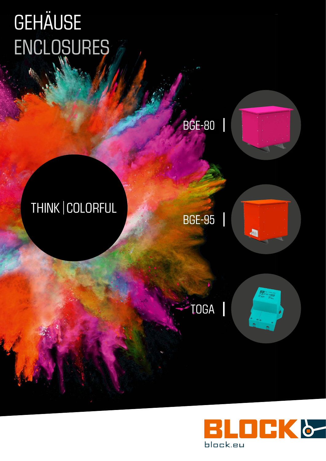# gehäuse enclosures

BGE-80



## THINK | COLORFUL

BGE-95



TOGA